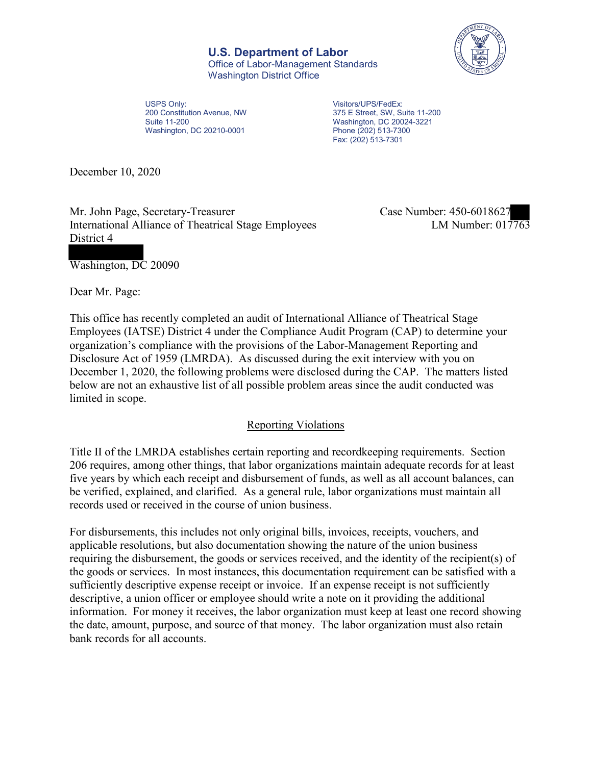**U.S. Department of Labor** Office of Labor-Management Standards Washington District Office



USPS Only: 200 Constitution Avenue, NW Suite 11-200 Washington, DC 20210-0001

 375 E Street, SW, Suite 11-200 Visitors/UPS/FedEx: Washington, DC 20024-3221 Phone (202) 513-7300 Fax: (202) 513-7301

December 10, 2020

Mr. John Page, Secretary-Treasurer International Alliance of Theatrical Stage Employees District 4

Case Number: 450-6018627<br>
LM Number: 017763

Washington, DC 20090

Dear Mr. Page:

 This office has recently completed an audit of International Alliance of Theatrical Stage Employees (IATSE) District 4 under the Compliance Audit Program (CAP) to determine your organization's compliance with the provisions of the Labor-Management Reporting and Disclosure Act of 1959 (LMRDA). As discussed during the exit interview with you on December 1, 2020, the following problems were disclosed during the CAP. The matters listed below are not an exhaustive list of all possible problem areas since the audit conducted was limited in scope.

## Reporting Violations

 Title II of the LMRDA establishes certain reporting and recordkeeping requirements. Section 206 requires, among other things, that labor organizations maintain adequate records for at least five years by which each receipt and disbursement of funds, as well as all account balances, can be verified, explained, and clarified. As a general rule, labor organizations must maintain all records used or received in the course of union business.

For disbursements, this includes not only original bills, invoices, receipts, vouchers, and applicable resolutions, but also documentation showing the nature of the union business requiring the disbursement, the goods or services received, and the identity of the recipient(s) of the goods or services. In most instances, this documentation requirement can be satisfied with a sufficiently descriptive expense receipt or invoice. If an expense receipt is not sufficiently descriptive, a union officer or employee should write a note on it providing the additional information. For money it receives, the labor organization must keep at least one record showing the date, amount, purpose, and source of that money. The labor organization must also retain bank records for all accounts.